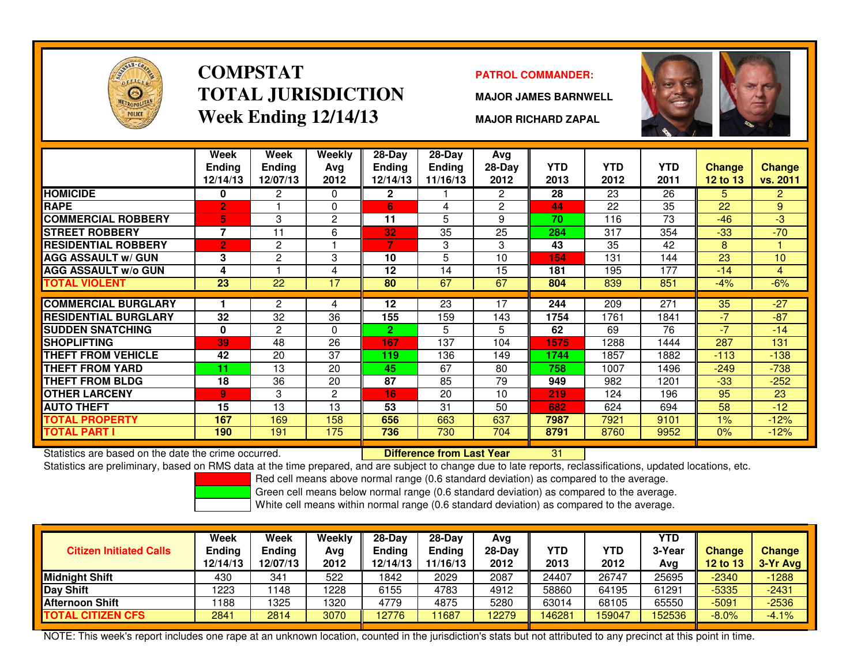

### **COMPSTATTOTAL JURISDICTIONWeek Ending 12/14/13**

#### **PATROL COMMANDER:**

**MAJOR JAMES BARNWELL**

**MAJOR RICHARD ZAPAL**



|                             | Week<br><b>Endina</b><br>12/14/13 | Week<br><b>Ending</b><br>12/07/13 | Weekly<br>Avg<br>2012 | $28-Day$<br><b>Endina</b><br>12/14/13 | $28-Day$<br><b>Ending</b><br>11/16/13 | Avg<br>$28-Day$<br>2012 | <b>YTD</b><br>2013 | <b>YTD</b><br>2012 | <b>YTD</b><br>2011 | <b>Change</b><br>12 to 13 | <b>Change</b><br>vs. 2011 |
|-----------------------------|-----------------------------------|-----------------------------------|-----------------------|---------------------------------------|---------------------------------------|-------------------------|--------------------|--------------------|--------------------|---------------------------|---------------------------|
| <b>HOMICIDE</b>             | 0                                 | $\overline{2}$                    | $\Omega$              | $\mathbf{2}$                          |                                       | $\overline{2}$          | 28                 | 23                 | 26                 | 5                         | $\overline{2}$            |
| <b>RAPE</b>                 | $\overline{2}$                    |                                   | 0                     | 6                                     | 4                                     | 2                       | 44                 | 22                 | 35                 | 22                        | 9                         |
| <b>COMMERCIAL ROBBERY</b>   | 5                                 | 3                                 | 2                     | 11                                    | 5                                     | 9                       | 70                 | 116                | 73                 | $-46$                     | $-3$                      |
| <b>ISTREET ROBBERY</b>      | 7                                 | 11                                | 6                     | 32                                    | 35                                    | 25                      | 284                | 317                | 354                | $-33$                     | $-70$                     |
| <b>RESIDENTIAL ROBBERY</b>  | $\overline{2}$                    | 2                                 |                       | 7                                     | 3                                     | 3                       | 43                 | 35                 | 42                 | 8                         |                           |
| <b>AGG ASSAULT w/ GUN</b>   | 3                                 | $\overline{2}$                    | 3                     | 10                                    | 5                                     | 10                      | 154                | 131                | 144                | 23                        | 10                        |
| <b>AGG ASSAULT w/o GUN</b>  | 4                                 |                                   | 4                     | $12 \,$                               | 14                                    | 15                      | 181                | 195                | 177                | $-14$                     | 4                         |
| <b>TOTAL VIOLENT</b>        | 23                                | 22                                | 17                    | 80                                    | 67                                    | 67                      | 804                | 839                | 851                | $-4\%$                    | $-6%$                     |
|                             |                                   |                                   |                       |                                       |                                       |                         |                    |                    |                    |                           |                           |
| <b>COMMERCIAL BURGLARY</b>  |                                   | 2                                 | 4                     | $12 \,$                               | 23                                    | 17                      | 244                | 209                | 271                | 35                        | $-27$                     |
| <b>RESIDENTIAL BURGLARY</b> | 32                                | 32                                | 36                    | 155                                   | 159                                   | 143                     | 1754               | 1761               | 1841               | $-7$                      | $-87$                     |
| <b>SUDDEN SNATCHING</b>     | 0                                 | $\overline{2}$                    | 0                     | $\mathbf{2}$                          | 5                                     | 5.                      | 62                 | 69                 | 76                 | $-7$                      | $-14$                     |
| <b>SHOPLIFTING</b>          | 39                                | 48                                | 26                    | 167                                   | 137                                   | 104                     | 1575               | 1288               | 1444               | 287                       | 131                       |
| <b>THEFT FROM VEHICLE</b>   | 42                                | 20                                | 37                    | 119                                   | 136                                   | 149                     | 1744               | 1857               | 1882               | $-113$                    | $-138$                    |
| <b>THEFT FROM YARD</b>      | 11                                | 13                                | 20                    | 45                                    | 67                                    | 80                      | 758                | 1007               | 1496               | $-249$                    | $-738$                    |
| <b>THEFT FROM BLDG</b>      | 18                                | 36                                | 20                    | 87                                    | 85                                    | 79                      | 949                | 982                | 1201               | $-33$                     | $-252$                    |
| <b>OTHER LARCENY</b>        | 9.                                | 3                                 | $\overline{2}$        | 16.                                   | 20                                    | 10                      | 219                | 124                | 196                | 95                        | 23                        |
| <b>AUTO THEFT</b>           | 15                                | 13                                | 13                    | 53                                    | 31                                    | 50                      | 682                | 624                | 694                | 58                        | $-12$                     |
| <b>TOTAL PROPERTY</b>       | 167                               | 169                               | 158                   | 656                                   | 663                                   | 637                     | 7987               | 7921               | 9101               | 1%                        | $-12%$                    |
| <b>TOTAL PART I</b>         | 190                               | 191                               | 175                   | 736                                   | 730                                   | 704                     | 8791               | 8760               | 9952               | 0%                        | $-12%$                    |

Statistics are based on the date the crime occurred. **Difference from Last Year** 

Statistics are based on the date the crime occurred. **[19] Letter Lubber 10 Letter Conduct Statistics** are based on the date time occurred.<br>Statistics are preliminary, based on RMS data at the time prepared, and are subjec

Red cell means above normal range (0.6 standard deviation) as compared to the average.

Green cell means below normal range (0.6 standard deviation) as compared to the average.

White cell means within normal range (0.6 standard deviation) as compared to the average.

| <b>Citizen Initiated Calls</b> | Week<br>Ending<br>12/14/13 | <b>Week</b><br><b>Ending</b><br>12/07/13 | Weekly<br>Avg<br>2012 | $28$ -Dav<br>Ending<br>12/14/13 | $28-Dav$<br><b>Ending</b><br>11/16/13 | Avg<br>28-Dav<br>2012 | <b>YTD</b><br>2013 | YTD<br>2012 | <b>YTD</b><br>3-Year<br>Avg | <b>Change</b><br><b>12 to 13</b> | <b>Change</b><br>$3-Yr$ Avg |
|--------------------------------|----------------------------|------------------------------------------|-----------------------|---------------------------------|---------------------------------------|-----------------------|--------------------|-------------|-----------------------------|----------------------------------|-----------------------------|
| Midnight Shift                 | 430                        | 341                                      | 522                   | 1842                            | 2029                                  | 2087                  | 24407              | 26747       | 25695                       | $-2340$                          | $-1288$                     |
| Day Shift                      | 1223                       | 148                                      | 1228                  | 6155                            | 4783                                  | 4912                  | 58860              | 64195       | 61291                       | $-5335$                          | $-2431$                     |
| <b>Afternoon Shift</b>         | 188                        | 325                                      | 1320                  | 4779                            | 4875                                  | 5280                  | 63014              | 68105       | 65550                       | $-5091$                          | $-2536$                     |
| <b>TOTAL CITIZEN CFS</b>       | 2841                       | 2814                                     | 3070                  | 12776                           | 11687                                 | 2279                  | 46281              | 159047      | 152536                      | $-8.0%$                          | $-4.1%$                     |

NOTE: This week's report includes one rape at an unknown location, counted in the jurisdiction's stats but not attributed to any precinct at this point in time.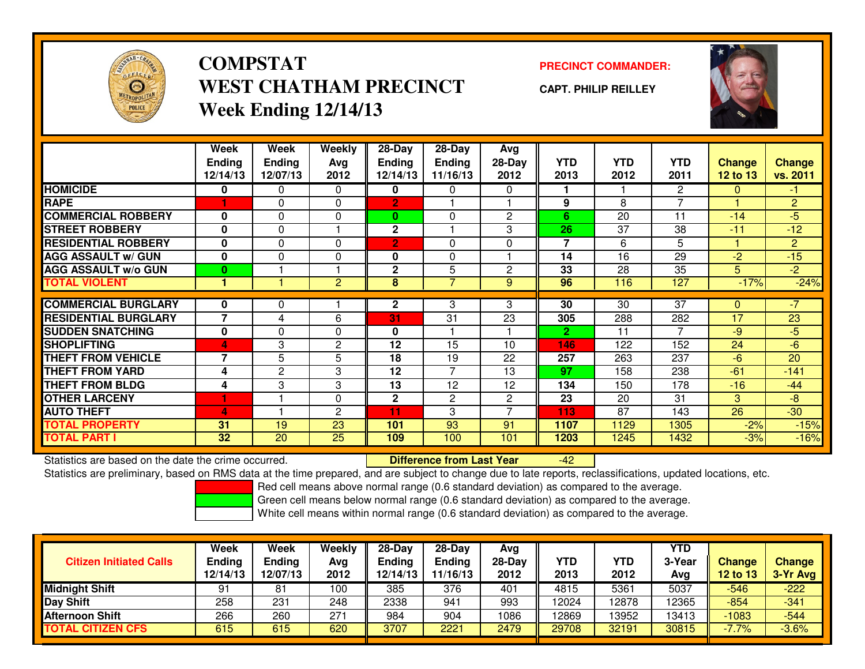

## **COMPSTATWEST CHATHAM PRECINCTWeek Ending 12/14/13**

### **PRECINCT COMMANDER:**

**CAPT. PHILIP REILLEY**



|                             | Week<br><b>Ending</b><br>12/14/13 | <b>Week</b><br><b>Ending</b><br>12/07/13 | Weekly<br>Ava<br>2012 | 28-Day<br><b>Ending</b><br>12/14/13 | 28-Day<br><b>Ending</b><br>11/16/13 | Avg<br>$28-Day$<br>2012 | <b>YTD</b><br>2013 | <b>YTD</b><br>2012 | <b>YTD</b><br>2011 | <b>Change</b><br>12 to 13 | <b>Change</b><br>vs. 2011 |
|-----------------------------|-----------------------------------|------------------------------------------|-----------------------|-------------------------------------|-------------------------------------|-------------------------|--------------------|--------------------|--------------------|---------------------------|---------------------------|
| <b>HOMICIDE</b>             | 0                                 | 0                                        | 0                     | 0                                   | 0                                   | 0                       |                    |                    | $\overline{2}$     | $\mathbf{0}$              | $-1$                      |
| <b>RAPE</b>                 |                                   | 0                                        | $\Omega$              | $\overline{2}$                      |                                     |                         | 9                  | 8                  | $\overline{7}$     |                           | $\overline{2}$            |
| <b>COMMERCIAL ROBBERY</b>   | $\bf{0}$                          | $\Omega$                                 | 0                     | $\mathbf{0}$                        | 0                                   | $\overline{2}$          | 6                  | 20                 | 11                 | $-14$                     | $-5$                      |
| <b>STREET ROBBERY</b>       | 0                                 | 0                                        |                       | $\mathbf 2$                         |                                     | 3                       | 26                 | 37                 | 38                 | $-11$                     | $-12$                     |
| <b>RESIDENTIAL ROBBERY</b>  | $\bf{0}$                          | $\Omega$                                 | $\Omega$              | $\overline{2}$                      | 0                                   | $\Omega$                | $\overline{7}$     | 6                  | 5                  |                           | $\overline{2}$            |
| <b>AGG ASSAULT w/ GUN</b>   | $\bf{0}$                          | $\Omega$                                 | $\Omega$              | 0                                   | 0                                   |                         | 14                 | 16                 | 29                 | $-2$                      | $-15$                     |
| <b>AGG ASSAULT w/o GUN</b>  | $\bf{0}$                          |                                          |                       | $\mathbf{2}$                        | 5                                   | $\mathbf{2}$            | 33                 | 28                 | 35                 | 5                         | $-2$                      |
| <b>TOTAL VIOLENT</b>        |                                   |                                          | $\overline{2}$        | 8                                   |                                     | 9                       | 96                 | 116                | 127                | $-17%$                    | $-24%$                    |
|                             |                                   |                                          |                       |                                     |                                     |                         |                    |                    |                    |                           |                           |
| <b>COMMERCIAL BURGLARY</b>  | 0                                 | 0                                        |                       | $\mathbf{2}$                        | 3                                   | 3                       | 30                 | 30                 | $\overline{37}$    | 0                         | $-7$                      |
| <b>RESIDENTIAL BURGLARY</b> | $\overline{7}$                    | 4                                        | 6                     | 31                                  | 31                                  | 23                      | 305                | 288                | 282                | 17                        | 23                        |
| <b>SUDDEN SNATCHING</b>     | 0                                 | $\Omega$                                 | $\Omega$              | 0                                   |                                     |                         | $\mathbf{2}$       | 11                 |                    | $-9$                      | $-5$                      |
| <b>SHOPLIFTING</b>          | 4                                 | 3                                        | 2                     | 12                                  | 15                                  | 10                      | 146                | 122                | 152                | 24                        | $-6$                      |
| <b>THEFT FROM VEHICLE</b>   | $\overline{\phantom{a}}$          | 5                                        | 5                     | 18                                  | 19                                  | 22                      | 257                | 263                | 237                | $-6$                      | 20                        |
| <b>THEFT FROM YARD</b>      | 4                                 | $\overline{2}$                           | 3                     | 12                                  | 7                                   | 13                      | 97                 | 158                | 238                | $-61$                     | $-141$                    |
| <b>THEFT FROM BLDG</b>      | 4                                 | 3                                        | 3                     | 13                                  | 12                                  | 12                      | 134                | 150                | 178                | $-16$                     | $-44$                     |
| <b>OTHER LARCENY</b>        | 1                                 |                                          | $\Omega$              | $\mathbf{2}$                        | $\mathbf{2}$                        | $\mathbf{2}^{\prime}$   | 23                 | 20                 | 31                 | 3                         | $-8$                      |
| <b>AUTO THEFT</b>           | 4                                 |                                          | 2                     | 11                                  | 3                                   | 7                       | 113                | 87                 | 143                | 26                        | $-30$                     |
| <b>TOTAL PROPERTY</b>       | 31                                | 19                                       | 23                    | 101                                 | 93                                  | 91                      | 1107               | 1129               | 1305               | $-2%$                     | $-15%$                    |
| <b>TOTAL PART I</b>         | 32                                | 20                                       | 25                    | 109                                 | 100                                 | 101                     | 1203               | 1245               | 1432               | $-3%$                     | $-16%$                    |

Statistics are based on the date the crime occurred. **Difference from Last Year** 

Statistics are based on the date the crime occurred.<br>Statistics are preliminary, based on RMS data at the time prepared, and are subject to change due to late reports, reclassifications, updated locations, etc.

Red cell means above normal range (0.6 standard deviation) as compared to the average.

Green cell means below normal range (0.6 standard deviation) as compared to the average.

| <b>Citizen Initiated Calls</b> | Week<br><b>Ending</b><br>12/14/13 | <b>Week</b><br><b>Ending</b><br>12/07/13 | Weekly<br>Avg<br>2012 | $28-Day$<br>Ending<br>12/14/13 | $28-Day$<br><b>Ending</b><br>11/16/13 | Avg<br>28-Day<br>2012 | YTD<br>2013 | YTD<br>2012 | <b>YTD</b><br>3-Year<br>Avg | <b>Change</b><br>12 to 13 | <b>Change</b><br>3-Yr Avg |
|--------------------------------|-----------------------------------|------------------------------------------|-----------------------|--------------------------------|---------------------------------------|-----------------------|-------------|-------------|-----------------------------|---------------------------|---------------------------|
| <b>Midnight Shift</b>          | 91                                | 81                                       | 100                   | 385                            | 376                                   | 401                   | 4815        | 5361        | 5037                        | $-546$                    | $-222$                    |
| <b>Day Shift</b>               | 258                               | 231                                      | 248                   | 2338                           | 941                                   | 993                   | 12024       | 12878       | 12365                       | $-854$                    | $-341$                    |
| <b>Afternoon Shift</b>         | 266                               | 260                                      | 271                   | 984                            | 904                                   | 1086                  | 12869       | 13952       | 13413                       | $-1083$                   | $-544$                    |
| <b>TOTAL CITIZEN CFS</b>       | 615                               | 615                                      | 620                   | 3707                           | 2221                                  | 2479                  | 29708       | 32191       | 30815                       | $-7.7%$                   | $-3.6%$                   |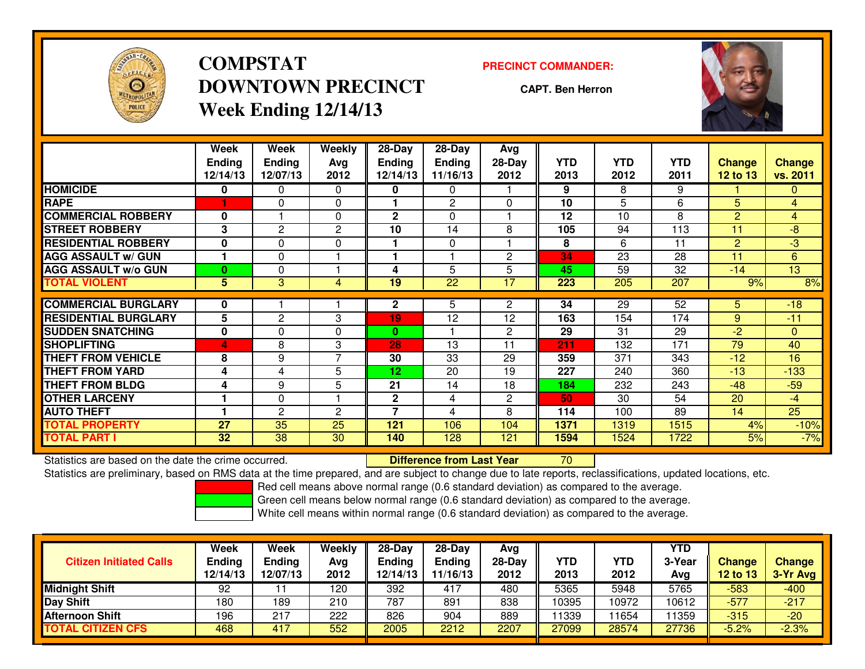

## **COMPSTATDOWNTOWN PRECINCTWeek Ending 12/14/13**

#### **PRECINCT COMMANDER:**

**CAPT. Ben Herron**



|                             | Week<br><b>Endina</b><br>12/14/13 | Week<br><b>Ending</b><br>12/07/13 | <b>Weekly</b><br>Avg<br>2012 | 28-Day<br>Endina<br>12/14/13 | 28-Day<br><b>Endina</b><br>11/16/13 | Avg<br>28-Day<br>2012 | <b>YTD</b><br>2013 | <b>YTD</b><br>2012 | <b>YTD</b><br>2011 | <b>Change</b><br><b>12 to 13</b> | <b>Change</b><br>vs. 2011 |
|-----------------------------|-----------------------------------|-----------------------------------|------------------------------|------------------------------|-------------------------------------|-----------------------|--------------------|--------------------|--------------------|----------------------------------|---------------------------|
| <b>HOMICIDE</b>             | 0                                 | 0                                 | $\Omega$                     | 0                            | $\mathbf{0}$                        |                       | 9                  | 8                  | 9                  |                                  | $\mathbf{0}$              |
| <b>RAPE</b>                 |                                   | $\Omega$                          | $\Omega$                     |                              | $\overline{2}$                      | $\Omega$              | 10                 | 5                  | 6                  | 5                                | $\overline{4}$            |
| <b>COMMERCIAL ROBBERY</b>   | $\bf{0}$                          |                                   | $\mathbf{0}$                 | 2                            | $\Omega$                            |                       | 12                 | 10                 | 8                  | $\overline{2}$                   | 4                         |
| <b>STREET ROBBERY</b>       | 3                                 | $\overline{2}$                    | 2                            | 10                           | 14                                  | 8                     | 105                | 94                 | 113                | 11                               | $-8$                      |
| <b>RESIDENTIAL ROBBERY</b>  | $\bf{0}$                          | $\Omega$                          | $\Omega$                     |                              | $\Omega$                            |                       | 8                  | 6                  | 11                 | $\overline{2}$                   | $-3$                      |
| <b>AGG ASSAULT w/ GUN</b>   |                                   | 0                                 |                              |                              |                                     | $\mathbf{2}$          | 34                 | 23                 | 28                 | 11                               | 6                         |
| <b>AGG ASSAULT w/o GUN</b>  | $\mathbf{0}$                      | $\Omega$                          |                              | 4                            | 5                                   | 5                     | 45                 | 59                 | 32                 | $-14$                            | 13                        |
| <b>TOTAL VIOLENT</b>        | 5 <sup>5</sup>                    | 3                                 | 4                            | 19                           | 22                                  | 17                    | 223                | 205                | 207                | 9%                               | 8%                        |
| <b>COMMERCIAL BURGLARY</b>  | 0                                 |                                   |                              | 2                            | 5                                   | 2                     | 34                 | 29                 | 52                 | 5                                | $-18$                     |
| <b>RESIDENTIAL BURGLARY</b> | 5                                 | $\overline{c}$                    | 3                            | 19                           | 12                                  | 12                    | 163                | 154                | 174                | 9                                | $-11$                     |
| <b>SUDDEN SNATCHING</b>     | 0                                 | 0                                 | 0                            | $\bf{0}$                     |                                     | $\mathbf{2}$          | 29                 | 31                 | 29                 | $-2$                             | $\mathbf{0}$              |
| <b>SHOPLIFTING</b>          | 4                                 | 8                                 | 3                            | 28                           | 13                                  | 11                    | 211                | 132                | 171                | 79                               | 40                        |
| <b>THEFT FROM VEHICLE</b>   | 8                                 | 9                                 | $\overline{7}$               | 30                           | 33                                  | 29                    | 359                | 371                | 343                | $-12$                            | 16                        |
| <b>THEFT FROM YARD</b>      | 4                                 | 4                                 | 5                            | 12                           | 20                                  | 19                    | 227                | 240                | 360                | $-13$                            | $-133$                    |
| <b>THEFT FROM BLDG</b>      | 4                                 | 9                                 | 5                            | 21                           | 14                                  | 18                    | 184                | 232                | 243                | $-48$                            | $-59$                     |
| <b>OTHER LARCENY</b>        |                                   | 0                                 |                              | 2                            | 4                                   | $\mathbf{2}$          | 50                 | 30                 | 54                 | 20                               | $-4$                      |
| <b>AUTO THEFT</b>           |                                   | 2                                 | $\mathbf{c}$                 | 7                            | 4                                   | 8                     | 114                | 100                | 89                 | 14                               | 25                        |
| <b>TOTAL PROPERTY</b>       | 27                                | 35                                | 25                           | 121                          | 106                                 | 104                   | 1371               | 1319               | 1515               | 4%                               | $-10%$                    |
| <b>TOTAL PART I</b>         | 32                                | 38                                | 30                           | 140                          | 128                                 | 121                   | 1594               | 1524               | 1722               | 5%                               | $-7%$                     |

Statistics are based on the date the crime occurred. **Difference from Last Year** 

Statistics are based on the date the crime occurred.<br>Statistics are preliminary, based on RMS data at the time prepared, and are subject to change due to late reports, reclassifications, updated locations, etc.

Red cell means above normal range (0.6 standard deviation) as compared to the average.

Green cell means below normal range (0.6 standard deviation) as compared to the average.

| <b>Citizen Initiated Calls</b> | Week<br><b>Ending</b><br>12/14/13 | <b>Week</b><br>Ending<br>12/07/13 | Weekly<br>Avg<br>2012 | $28-Day$<br><b>Ending</b><br>12/14/13 | 28-Day<br><b>Ending</b><br>11/16/13 | Avg<br>28-Day<br>2012 | YTD<br>2013 | YTD<br>2012 | YTD<br>3-Year<br>Avg | <b>Change</b><br><b>12 to 13</b> | <b>Change</b><br>3-Yr Avg |
|--------------------------------|-----------------------------------|-----------------------------------|-----------------------|---------------------------------------|-------------------------------------|-----------------------|-------------|-------------|----------------------|----------------------------------|---------------------------|
| <b>Midnight Shift</b>          | 92                                |                                   | 120                   | 392                                   | 417                                 | 480                   | 5365        | 5948        | 5765                 | -583                             | $-400$                    |
| <b>Day Shift</b>               | 180                               | 189                               | 210                   | 787                                   | 891                                 | 838                   | 10395       | 10972       | 10612                | $-577$                           | $-217$                    |
| <b>Afternoon Shift</b>         | 196                               | 217                               | 222                   | 826                                   | 904                                 | 889                   | 11339       | 1654        | 1359                 | $-315$                           | $-20$                     |
| <b>TOTAL CITIZEN CFS</b>       | 468                               | 417                               | 552                   | 2005                                  | 2212                                | 2207                  | 27099       | 28574       | 27736                | $-5.2%$                          | $-2.3%$                   |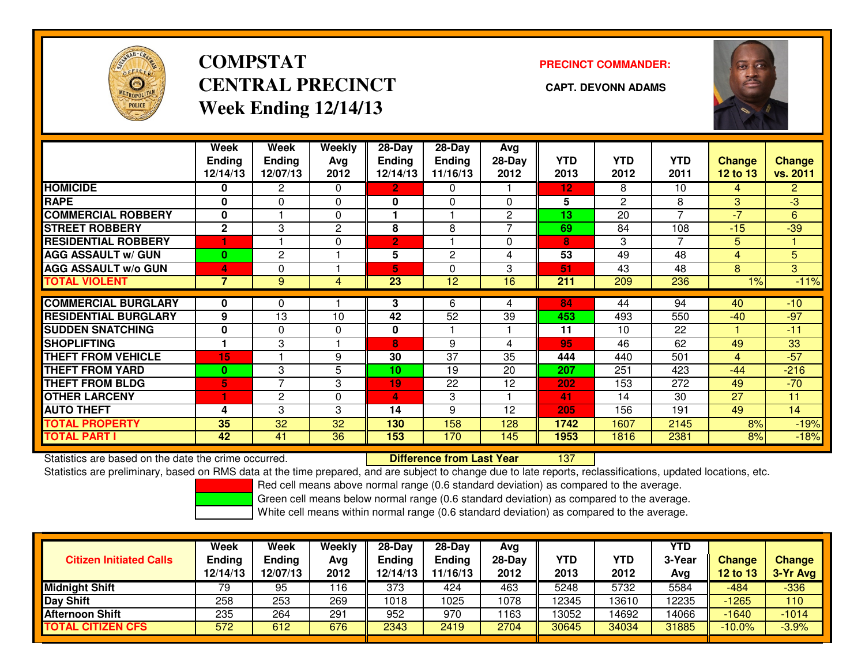

# **COMPSTATCENTRAL PRECINCT** CAPT. DEVONN ADAMS **Week Ending 12/14/13**

### **PRECINCT COMMANDER:**



|                             | Week<br><b>Ending</b> | Week<br><b>Ending</b> | Weekly<br>Ava | $28-Day$<br>Ending | $28-Day$<br><b>Ending</b> | Avg<br>28-Day  | <b>YTD</b> | <b>YTD</b>     | YTD            | <b>Change</b>  | <b>Change</b>  |
|-----------------------------|-----------------------|-----------------------|---------------|--------------------|---------------------------|----------------|------------|----------------|----------------|----------------|----------------|
|                             | 12/14/13              | 12/07/13              | 2012          | 12/14/13           | 11/16/13                  | 2012           | 2013       | 2012           | 2011           | $12$ to $13$   | vs. 2011       |
| <b>HOMICIDE</b>             | 0                     | 2                     | $\Omega$      | $\overline{2}$     | 0                         |                | 12         | 8              | 10             | 4              | $\overline{2}$ |
| <b>RAPE</b>                 | 0                     | $\Omega$              | $\Omega$      | 0                  | $\mathbf{0}$              | $\Omega$       | 5          | $\overline{2}$ | 8              | 3              | $\overline{3}$ |
| <b>COMMERCIAL ROBBERY</b>   | 0                     |                       | $\Omega$      |                    |                           | $\overline{c}$ | 13         | 20             | 7              | $-7$           | 6              |
| <b>STREET ROBBERY</b>       | $\mathbf{2}$          | 3                     | $\mathbf{2}$  | 8                  | 8                         |                | 69         | 84             | 108            | $-15$          | $-39$          |
| <b>RESIDENTIAL ROBBERY</b>  | 1                     |                       | 0             | $\overline{2}$     |                           | $\Omega$       | 8          | 3              | $\overline{7}$ | 5              |                |
| <b>AGG ASSAULT w/ GUN</b>   | $\bf{0}$              | 2                     |               | 5                  | $\mathbf{2}$              | 4              | 53         | 49             | 48             | $\overline{4}$ | 5              |
| <b>AGG ASSAULT w/o GUN</b>  | 4                     | 0                     |               | 5                  | $\Omega$                  | 3              | 51         | 43             | 48             | 8              | 3              |
| <b>TOTAL VIOLENT</b>        | $\overline{7}$        | 9                     | 4             | 23                 | 12                        | 16             | 211        | 209            | 236            | 1%             | $-11%$         |
|                             |                       |                       |               |                    |                           |                |            |                | 94             |                |                |
| <b>COMMERCIAL BURGLARY</b>  | 0                     | 0                     |               | 3                  | 6                         | 4              | 84         | 44             |                | 40             | $-10$          |
| <b>RESIDENTIAL BURGLARY</b> | 9                     | 13                    | 10            | 42                 | 52                        | 39             | 453        | 493            | 550            | $-40$          | $-97$          |
| <b>SUDDEN SNATCHING</b>     | 0                     | $\Omega$              | $\Omega$      | 0                  |                           |                | 11         | 10             | 22             |                | $-11$          |
| <b>SHOPLIFTING</b>          |                       | 3                     |               | 8                  | 9                         | 4              | 95         | 46             | 62             | 49             | 33             |
| <b>THEFT FROM VEHICLE</b>   | 15                    |                       | 9             | 30                 | 37                        | 35             | 444        | 440            | 501            | 4              | $-57$          |
| <b>THEFT FROM YARD</b>      | $\bf{0}$              | 3                     | 5             | 10                 | 19                        | 20             | 207        | 251            | 423            | $-44$          | $-216$         |
| <b>THEFT FROM BLDG</b>      | 5                     | $\overline{7}$        | 3             | 19                 | 22                        | 12             | 202        | 153            | 272            | 49             | $-70$          |
| <b>OTHER LARCENY</b>        | 1                     | 2                     | 0             | 4                  | 3                         |                | 41         | 14             | 30             | 27             | 11             |
| <b>AUTO THEFT</b>           | 4                     | 3                     | 3             | 14                 | 9                         | 12             | 205        | 156            | 191            | 49             | 14             |
| <b>TOTAL PROPERTY</b>       | 35                    | 32                    | 32            | 130                | 158                       | 128            | 1742       | 1607           | 2145           | 8%             | $-19%$         |
| <b>TOTAL PART I</b>         | 42                    | 41                    | 36            | 153                | 170                       | 145            | 1953       | 1816           | 2381           | 8%             | $-18%$         |

Statistics are based on the date the crime occurred. **Difference from Last Year** 

<sup>137</sup>

Statistics are preliminary, based on RMS data at the time prepared, and are subject to change due to late reports, reclassifications, updated locations, etc.

Red cell means above normal range (0.6 standard deviation) as compared to the average.

Green cell means below normal range (0.6 standard deviation) as compared to the average.

| <b>Citizen Initiated Calls</b> | Week<br>Ending<br>12/14/13 | Week<br>Ending<br>12/07/13 | Weekly<br>Avg<br>2012 | $28-Day$<br><b>Ending</b><br>12/14/13 | $28 - Day$<br><b>Ending</b><br>11/16/13 | Avg<br>28-Day<br>2012 | YTD<br>2013 | YTD<br>2012 | <b>YTD</b><br>3-Year<br>Avg | <b>Change</b><br><b>12 to 13</b> | <b>Change</b><br>3-Yr Avg |
|--------------------------------|----------------------------|----------------------------|-----------------------|---------------------------------------|-----------------------------------------|-----------------------|-------------|-------------|-----------------------------|----------------------------------|---------------------------|
| <b>Midnight Shift</b>          | 79                         | 95                         | 16                    | 373                                   | 424                                     | 463                   | 5248        | 5732        | 5584                        | -484                             | $-336$                    |
| Day Shift                      | 258                        | 253                        | 269                   | 1018                                  | 1025                                    | 1078                  | 12345       | 13610       | 12235                       | $-1265$                          | 110                       |
| <b>Afternoon Shift</b>         | 235                        | 264                        | 291                   | 952                                   | 970                                     | 1163                  | 13052       | 14692       | 14066                       | $-1640$                          | $-1014$                   |
| <b>TOTAL CITIZEN CFS</b>       | 572                        | 612                        | 676                   | 2343                                  | 2419                                    | 2704                  | 30645       | 34034       | 31885                       | $-10.0\%$                        | $-3.9%$                   |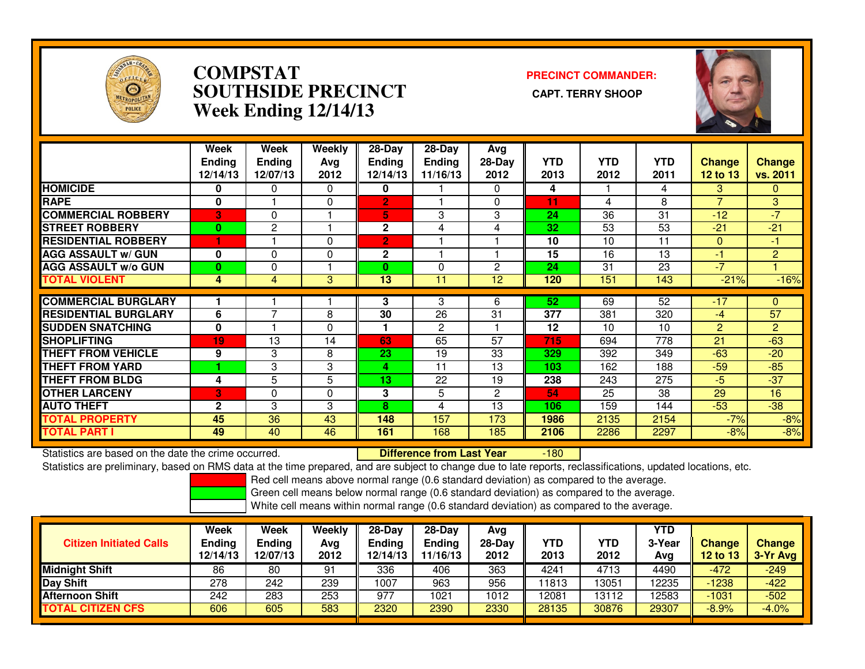

### **COMPSTAT PRECINCT COMMANDER: SOUTHSIDE PRECINCT CAPT. TERRY SHOOPWeek Ending 12/14/13**



|                             | Week<br><b>Ending</b><br>12/14/13 | Week<br><b>Endina</b><br>12/07/13 | Weekly<br>Ava<br>2012 | $28$ -Day<br>Endina<br>12/14/13 | $28$ -Day<br><b>Endina</b><br>11/16/13 | Avg<br>$28-Day$<br>2012 | <b>YTD</b><br>2013 | <b>YTD</b><br>2012 | <b>YTD</b><br>2011 | Change<br>12 to 13 | <b>Change</b><br>vs. 2011 |
|-----------------------------|-----------------------------------|-----------------------------------|-----------------------|---------------------------------|----------------------------------------|-------------------------|--------------------|--------------------|--------------------|--------------------|---------------------------|
| <b>HOMICIDE</b>             | 0                                 | $\Omega$                          | 0                     | 0                               |                                        | $\Omega$                | 4                  |                    | 4                  | 3                  | $\Omega$                  |
| <b>RAPE</b>                 | $\bf{0}$                          |                                   | 0                     | $\overline{2}$                  |                                        | 0                       | 11                 | 4                  | 8                  | $\overline{7}$     | 3 <sup>°</sup>            |
| <b>COMMERCIAL ROBBERY</b>   | 3                                 | $\Omega$                          |                       | 5.                              | 3                                      | 3                       | 24                 | 36                 | 31                 | $-12$              | $-7$                      |
| <b>STREET ROBBERY</b>       | $\bf{0}$                          | $\overline{c}$                    |                       | $\mathbf{2}$                    | 4                                      | 4                       | 32                 | 53                 | 53                 | $-21$              | $-21$                     |
| <b>RESIDENTIAL ROBBERY</b>  | н                                 |                                   | $\Omega$              | $\overline{2}$                  |                                        |                         | 10                 | 10                 | 11                 | $\Omega$           | $-1$                      |
| <b>AGG ASSAULT w/ GUN</b>   | 0                                 | $\Omega$                          | 0                     | $\mathbf{2}$                    |                                        |                         | 15                 | 16                 | 13                 | -1                 | $\overline{2}$            |
| <b>AGG ASSAULT w/o GUN</b>  | $\bf{0}$                          | 0                                 |                       | $\bf{0}$                        | 0                                      | 2                       | 24                 | 31                 | 23                 | $-7$               |                           |
| <b>TOTAL VIOLENT</b>        | 4                                 | 4                                 | 3                     | 13                              | 11                                     | 12                      | 120                | 151                | 143                | $-21%$             | $-16%$                    |
| <b>COMMERCIAL BURGLARY</b>  |                                   |                                   |                       | 3                               | 3                                      | 6                       | 52                 | 69                 | 52                 | $-17$              | $\mathbf{0}$              |
|                             |                                   | ⇁                                 |                       |                                 |                                        |                         |                    |                    |                    |                    |                           |
| <b>RESIDENTIAL BURGLARY</b> | 6                                 |                                   | 8                     | 30                              | 26                                     | 31                      | 377                | 381                | 320                | $-4$               | 57                        |
| <b>SUDDEN SNATCHING</b>     | $\bf{0}$                          |                                   | 0                     |                                 | $\overline{c}$                         |                         | 12                 | 10                 | 10                 | 2                  | $\overline{2}$            |
| <b>SHOPLIFTING</b>          | 19                                | 13                                | 14                    | 63                              | 65                                     | 57                      | 715                | 694                | 778                | 21                 | $-63$                     |
| <b>THEFT FROM VEHICLE</b>   | 9                                 | 3                                 | 8                     | 23                              | 19                                     | 33                      | 329                | 392                | 349                | $-63$              | $-20$                     |
| <b>THEFT FROM YARD</b>      |                                   | 3                                 | 3                     | 4                               | 11                                     | 13                      | 103                | 162                | 188                | $-59$              | $-85$                     |
| <b>THEFT FROM BLDG</b>      | 4                                 | 5                                 | 5                     | 13                              | 22                                     | 19                      | 238                | 243                | 275                | $-5$               | $-37$                     |
| <b>OTHER LARCENY</b>        | 3                                 | $\Omega$                          | 0                     | 3                               | 5                                      | $\overline{2}$          | 54                 | 25                 | 38                 | 29                 | 16                        |
| <b>AUTO THEFT</b>           | $\mathbf{2}$                      | 3                                 | 3                     | 8                               | 4                                      | 13                      | 106                | 159                | 144                | $-53$              | $-38$                     |
| <b>TOTAL PROPERTY</b>       | 45                                | 36                                | 43                    | 148                             | 157                                    | 173                     | 1986               | 2135               | 2154               | $-7%$              | $-8%$                     |
| <b>TOTAL PART I</b>         | 49                                | 40                                | 46                    | 161                             | 168                                    | 185                     | 2106               | 2286               | 2297               | $-8%$              | $-8%$                     |

Statistics are based on the date the crime occurred. **Difference from Last Year**  -180Statistics are preliminary, based on RMS data at the time prepared, and are subject to change due to late reports, reclassifications, updated locations, etc.

Red cell means above normal range (0.6 standard deviation) as compared to the average.

Green cell means below normal range (0.6 standard deviation) as compared to the average.

| <b>Citizen Initiated Calls</b> | Week<br><b>Ending</b><br>12/14/13 | Week<br>Ending<br>12/07/13 | Weekly<br>Avg<br>2012 | 28-Dav<br>Ending<br>2/14/13 | $28-Dav$<br><b>Ending</b><br>11/16/13 | Avg<br>$28-Day$<br>2012 | <b>YTD</b><br>2013 | YTD<br>2012 | <b>YTD</b><br>3-Year<br>Avg | <b>Change</b><br>12 to 13 | <b>Change</b><br>3-Yr Avg |
|--------------------------------|-----------------------------------|----------------------------|-----------------------|-----------------------------|---------------------------------------|-------------------------|--------------------|-------------|-----------------------------|---------------------------|---------------------------|
| <b>Midnight Shift</b>          | 86                                | 80                         | 91                    | 336                         | 406                                   | 363                     | 4241               | 4713        | 4490                        | $-472$                    | $-249$                    |
| Day Shift                      | 278                               | 242                        | 239                   | 1007                        | 963                                   | 956                     | 1813               | 3051        | 12235                       | $-1238$                   | $-422$                    |
| <b>Afternoon Shift</b>         | 242                               | 283                        | 253                   | 977                         | 1021                                  | 1012                    | 12081              | 13112       | 12583                       | $-1031$                   | $-502$                    |
| <b>CITIZEN CFS</b><br>ΤΟΤΑL    | 606                               | 605                        | 583                   | 2320                        | 2390                                  | 2330                    | 28135              | 30876       | 29307                       | $-8.9%$                   | $-4.0%$                   |